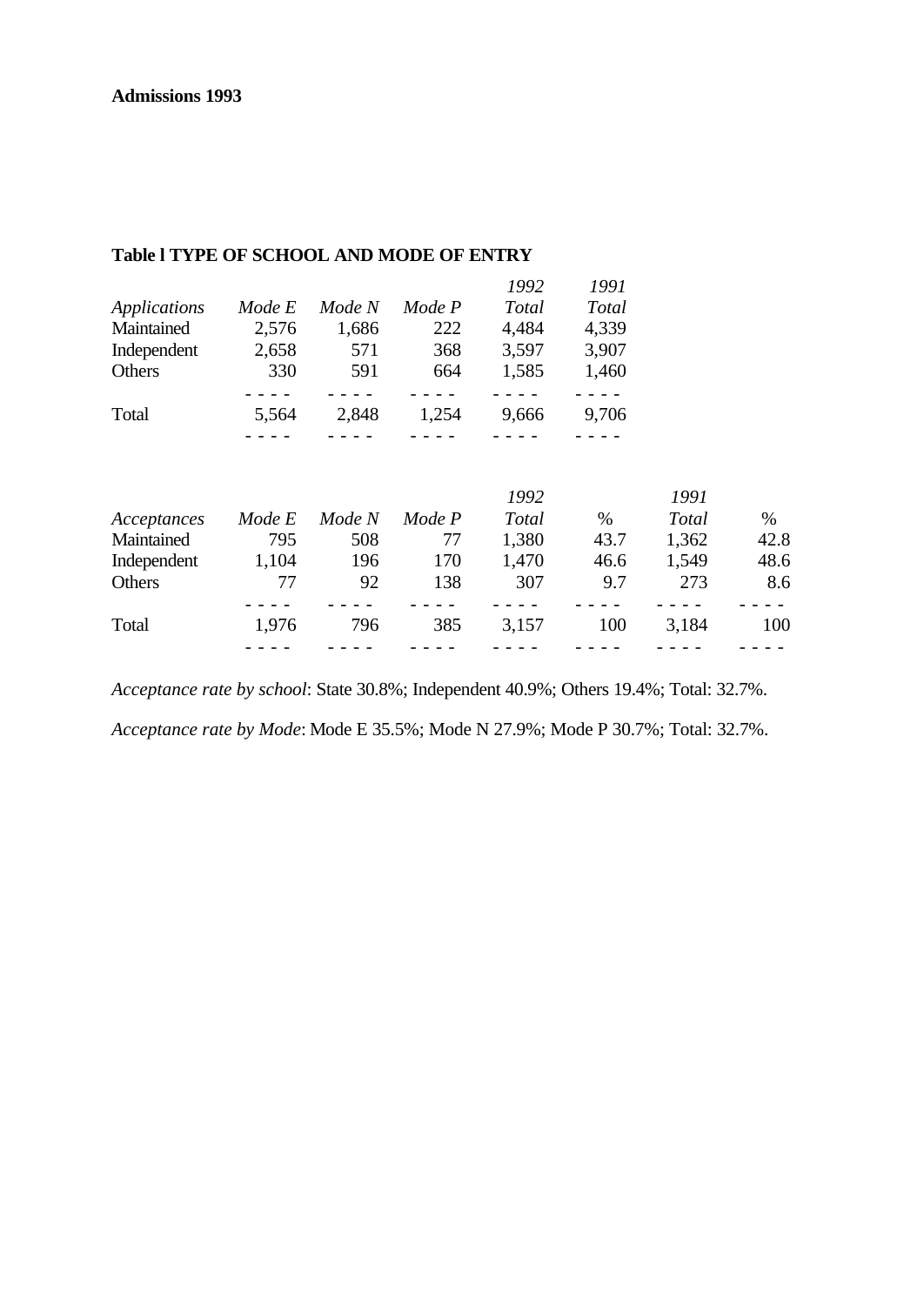|              |        |        |        | 1992         | 1991  |       |      |
|--------------|--------|--------|--------|--------------|-------|-------|------|
| Applications | Mode E | Mode N | Mode P | <b>Total</b> | Total |       |      |
| Maintained   | 2,576  | 1,686  | 222    | 4,484        | 4,339 |       |      |
| Independent  | 2,658  | 571    | 368    | 3,597        | 3,907 |       |      |
| Others       | 330    | 591    | 664    | 1,585        | 1,460 |       |      |
|              |        |        |        |              |       |       |      |
| Total        | 5,564  | 2,848  | 1,254  | 9,666        | 9,706 |       |      |
|              |        |        |        |              |       |       |      |
|              |        |        |        | 1992         |       | 1991  |      |
| Acceptances  | Mode E | Mode N | Mode P | Total        | %     | Total | %    |
| Maintained   | 795    | 508    | 77     | 1,380        | 43.7  | 1,362 | 42.8 |
| Independent  | 1,104  | 196    | 170    | 1,470        | 46.6  | 1,549 | 48.6 |
| Others       | 77     | 92     | 138    | 307          | 9.7   | 273   | 8.6  |
|              |        |        |        |              |       |       |      |
| Total        | 1,976  | 796    | 385    | 3,157        | 100   | 3,184 | 100  |
|              |        |        |        |              |       |       |      |

#### **Table l TYPE OF SCHOOL AND MODE OF ENTRY**

*Acceptance rate by school*: State 30.8%; Independent 40.9%; Others 19.4%; Total: 32.7%. *Acceptance rate by Mode*: Mode E 35.5%; Mode N 27.9%; Mode P 30.7%; Total: 32.7%.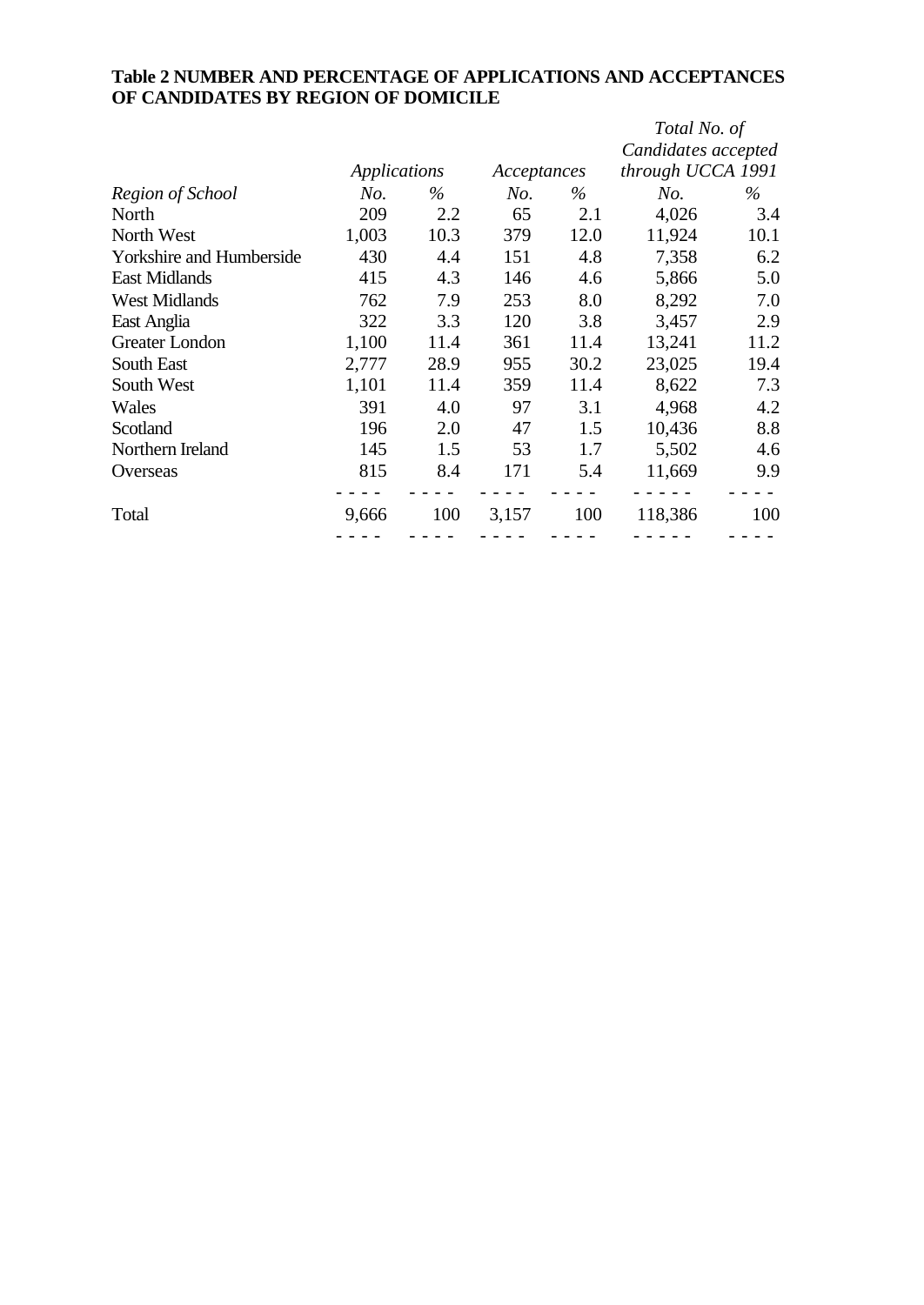## **Table 2 NUMBER AND PERCENTAGE OF APPLICATIONS AND ACCEPTANCES OF CANDIDATES BY REGION OF DOMICILE**

|                                 |              |      |       |             | Total No. of        |      |
|---------------------------------|--------------|------|-------|-------------|---------------------|------|
|                                 |              |      |       |             | Candidates accepted |      |
|                                 | Applications |      |       | Acceptances | through UCCA 1991   |      |
| Region of School                | No.          | $\%$ | No.   | $\%$        | No.                 | $\%$ |
| North                           | 209          | 2.2  | 65    | 2.1         | 4,026               | 3.4  |
| North West                      | 1,003        | 10.3 | 379   | 12.0        | 11,924              | 10.1 |
| <b>Yorkshire and Humberside</b> | 430          | 4.4  | 151   | 4.8         | 7,358               | 6.2  |
| <b>East Midlands</b>            | 415          | 4.3  | 146   | 4.6         | 5,866               | 5.0  |
| <b>West Midlands</b>            | 762          | 7.9  | 253   | 8.0         | 8,292               | 7.0  |
| East Anglia                     | 322          | 3.3  | 120   | 3.8         | 3,457               | 2.9  |
| Greater London                  | 1,100        | 11.4 | 361   | 11.4        | 13,241              | 11.2 |
| South East                      | 2,777        | 28.9 | 955   | 30.2        | 23,025              | 19.4 |
| South West                      | 1,101        | 11.4 | 359   | 11.4        | 8,622               | 7.3  |
| Wales                           | 391          | 4.0  | 97    | 3.1         | 4,968               | 4.2  |
| Scotland                        | 196          | 2.0  | 47    | 1.5         | 10,436              | 8.8  |
| Northern Ireland                | 145          | 1.5  | 53    | 1.7         | 5,502               | 4.6  |
| Overseas                        | 815          | 8.4  | 171   | 5.4         | 11,669              | 9.9  |
|                                 |              |      |       |             |                     |      |
| Total                           | 9,666        | 100  | 3,157 | 100         | 118,386             | 100  |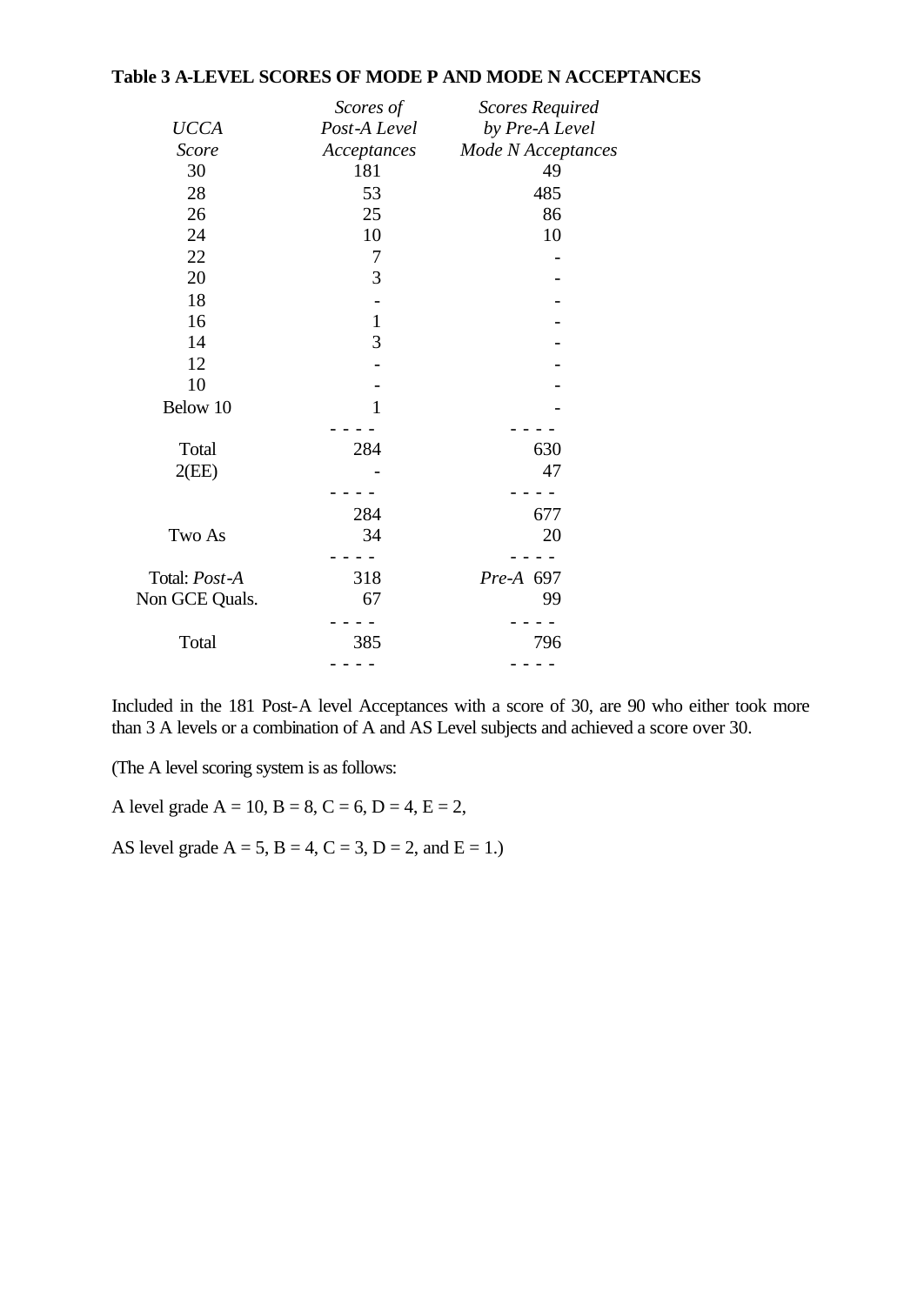#### **Table 3 A-LEVEL SCORES OF MODE P AND MODE N ACCEPTANCES**

|                | Scores of    | <b>Scores Required</b> |
|----------------|--------------|------------------------|
| <b>UCCA</b>    | Post-A Level | by Pre-A Level         |
| <b>Score</b>   | Acceptances  | Mode N Acceptances     |
| 30             | 181          | 49                     |
| 28             | 53           | 485                    |
| 26             | 25           | 86                     |
| 24             | 10           | 10                     |
| 22             | 7            |                        |
| 20             | 3            |                        |
| 18             |              |                        |
| 16             | $\mathbf{1}$ |                        |
| 14             | 3            |                        |
| 12             |              |                        |
| 10             |              |                        |
| Below 10       | 1            |                        |
|                |              |                        |
| Total          | 284          | 630                    |
| 2(EE)          |              | 47                     |
|                |              |                        |
|                | 284          | 677                    |
| Two As         | 34           | 20                     |
|                |              |                        |
| Total: Post-A  | 318          | Pre-A 697              |
| Non GCE Quals. | 67           | 99                     |
|                |              |                        |
| Total          | 385          | 796                    |
|                |              |                        |

Included in the 181 Post-A level Acceptances with a score of 30, are 90 who either took more than 3 A levels or a combination of A and AS Level subjects and achieved a score over 30.

(The A level scoring system is as follows:

A level grade  $A = 10$ ,  $B = 8$ ,  $C = 6$ ,  $D = 4$ ,  $E = 2$ ,

AS level grade  $A = 5$ ,  $B = 4$ ,  $C = 3$ ,  $D = 2$ , and  $E = 1$ .)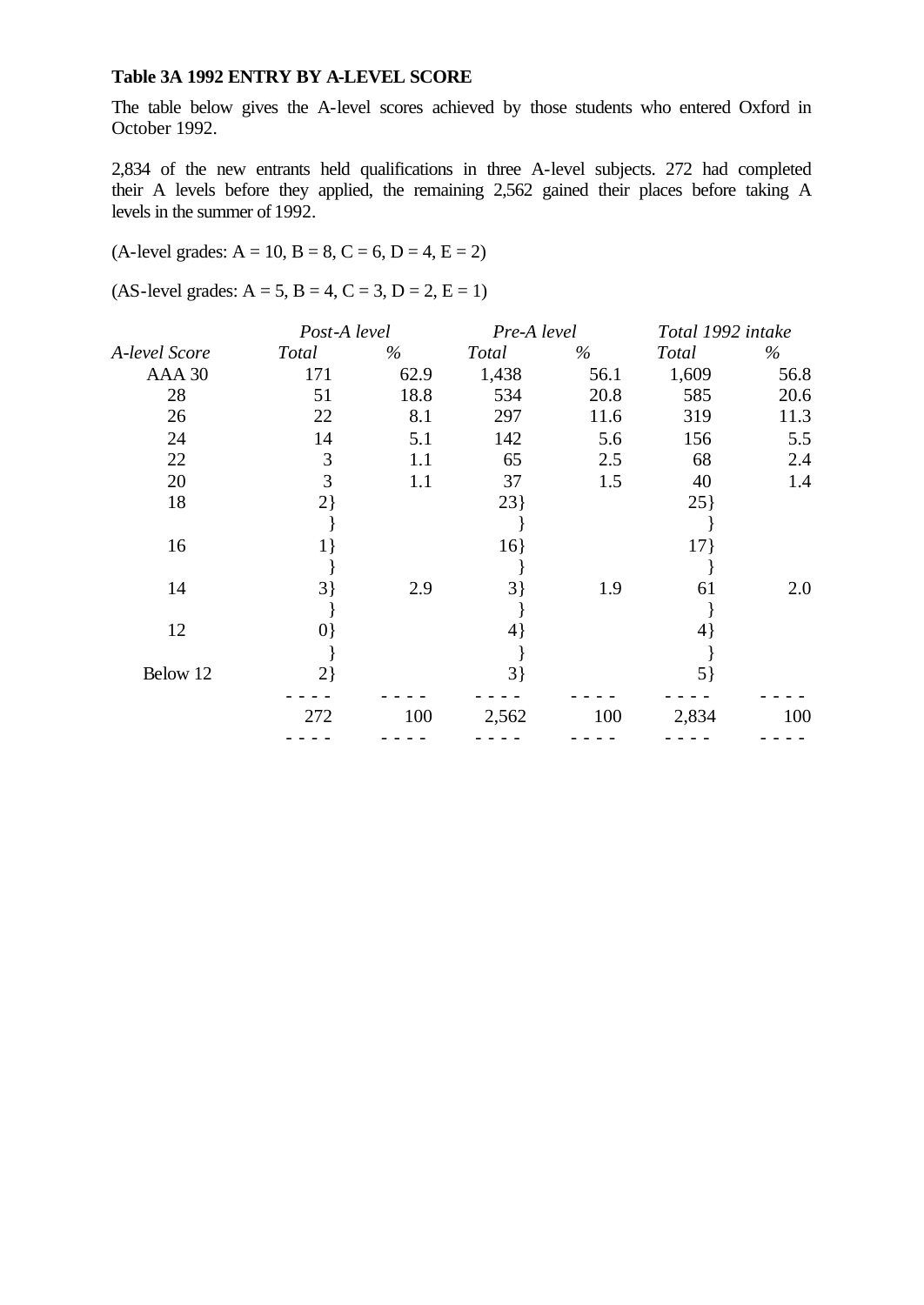#### **Table 3A 1992 ENTRY BY A-LEVEL SCORE**

The table below gives the A-level scores achieved by those students who entered Oxford in October 1992.

2,834 of the new entrants held qualifications in three A-level subjects. 272 had completed their A levels before they applied, the remaining 2,562 gained their places before taking A levels in the summer of 1992.

 $(A$ -level grades:  $A = 10$ ,  $B = 8$ ,  $C = 6$ ,  $D = 4$ ,  $E = 2$ )

 $(AS-level grades: A = 5, B = 4, C = 3, D = 2, E = 1)$ 

|               | Post-A level |      | Pre-A level    |      | Total 1992 intake |      |
|---------------|--------------|------|----------------|------|-------------------|------|
| A-level Score | Total        | $\%$ | <b>Total</b>   | $\%$ | Total             | %    |
| AAA 30        | 171          | 62.9 | 1,438          | 56.1 | 1,609             | 56.8 |
| 28            | 51           | 18.8 | 534            | 20.8 | 585               | 20.6 |
| 26            | 22           | 8.1  | 297            | 11.6 | 319               | 11.3 |
| 24            | 14           | 5.1  | 142            | 5.6  | 156               | 5.5  |
| 22            | 3            | 1.1  | 65             | 2.5  | 68                | 2.4  |
| 20            | 3            | 1.1  | 37             | 1.5  | 40                | 1.4  |
| 18            | $2\}$        |      | 23             |      | $25$ }            |      |
|               |              |      |                |      |                   |      |
| 16            | $1\}$        |      | 16             |      | 17                |      |
|               |              |      |                |      |                   |      |
| 14            | $3$ }        | 2.9  | $3\}$          | 1.9  | 61                | 2.0  |
|               |              |      |                |      |                   |      |
| 12            | $ 0\rangle$  |      | $\overline{4}$ |      | 4                 |      |
|               |              |      |                |      |                   |      |
| Below 12      | $2\}$        |      | $3\}$          |      | $5\}$             |      |
|               | 272          | 100  | 2,562          | 100  | 2,834             | 100  |
|               |              |      |                |      |                   |      |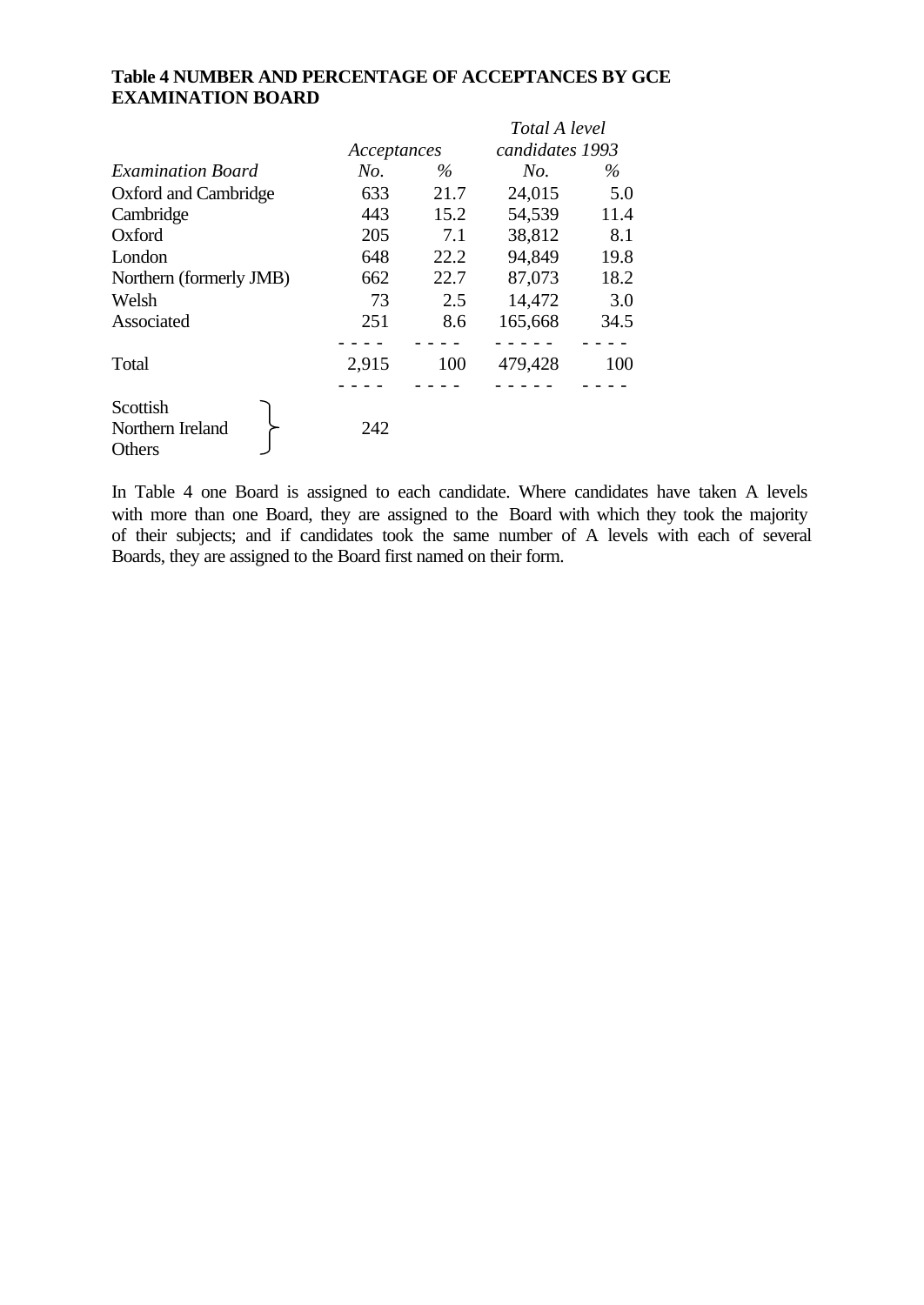### **Table 4 NUMBER AND PERCENTAGE OF ACCEPTANCES BY GCE EXAMINATION BOARD**

|                                        |             |      | Total A level   |      |  |
|----------------------------------------|-------------|------|-----------------|------|--|
|                                        | Acceptances |      | candidates 1993 |      |  |
| <b>Examination Board</b>               | No.         | $\%$ | No.             | $\%$ |  |
| Oxford and Cambridge                   | 633         | 21.7 | 24,015          | 5.0  |  |
| Cambridge                              | 443         | 15.2 | 54,539          | 11.4 |  |
| Oxford                                 | 205         | 7.1  | 38,812          | 8.1  |  |
| London                                 | 648         | 22.2 | 94,849          | 19.8 |  |
| Northern (formerly JMB)                | 662         | 22.7 | 87,073          | 18.2 |  |
| Welsh                                  | 73          | 2.5  | 14,472          | 3.0  |  |
| Associated                             | 251         | 8.6  | 165,668         | 34.5 |  |
|                                        |             |      |                 |      |  |
| Total                                  | 2,915       | 100  | 479,428         | 100  |  |
|                                        |             |      |                 |      |  |
| Scottish<br>Northern Ireland<br>Others | 242         |      |                 |      |  |

In Table 4 one Board is assigned to each candidate. Where candidates have taken A levels with more than one Board, they are assigned to the Board with which they took the majority of their subjects; and if candidates took the same number of A levels with each of several Boards, they are assigned to the Board first named on their form.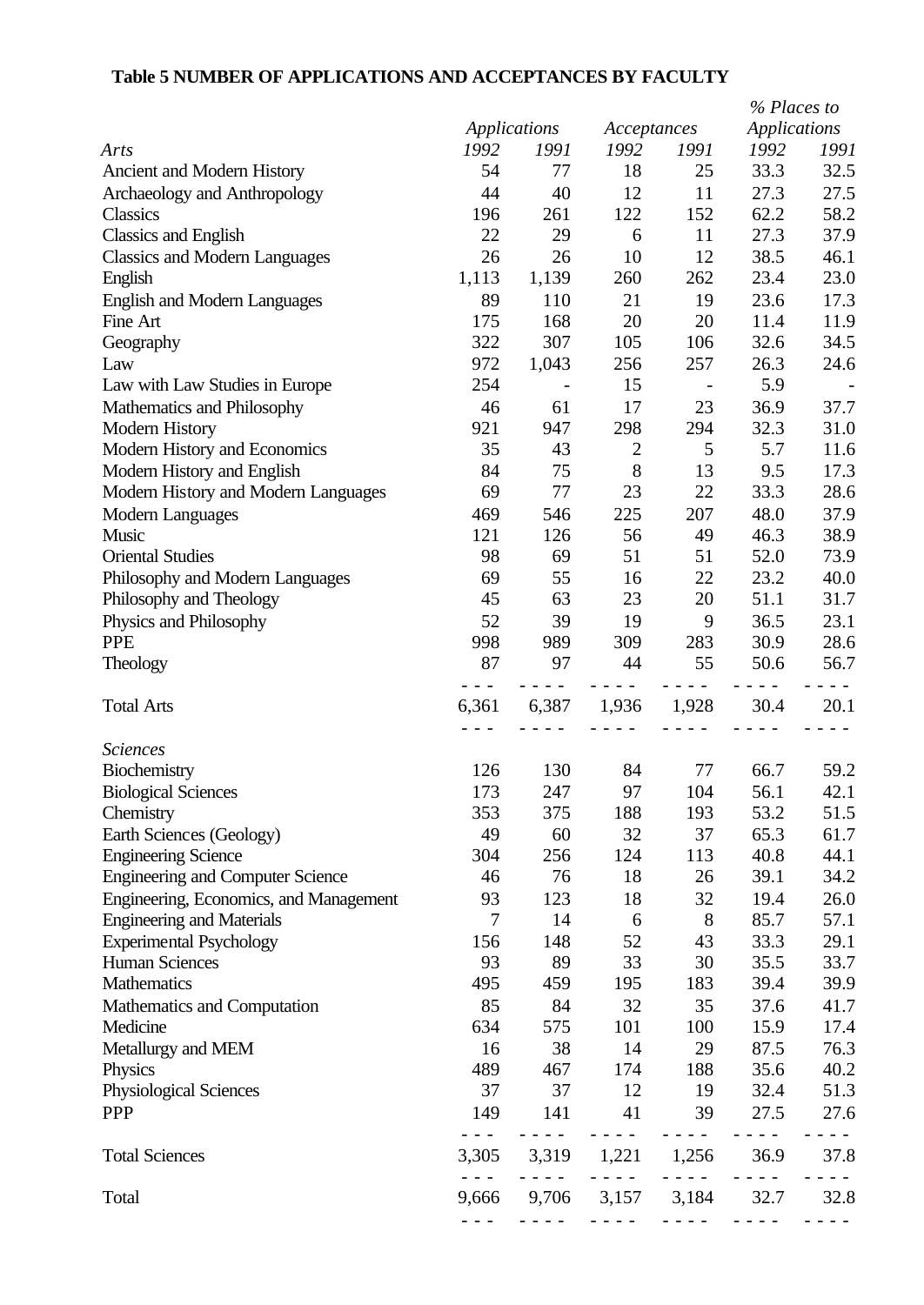# **Table 5 NUMBER OF APPLICATIONS AND ACCEPTANCES BY FACULTY**

|                                         |                |             |                |                                                                                                                                                                                                | % Places to                                                                                                                                          |      |
|-----------------------------------------|----------------|-------------|----------------|------------------------------------------------------------------------------------------------------------------------------------------------------------------------------------------------|------------------------------------------------------------------------------------------------------------------------------------------------------|------|
|                                         | Applications   |             | Acceptances    |                                                                                                                                                                                                | <b>Applications</b>                                                                                                                                  |      |
| Arts                                    | 1992           | 1991        | 1992           | 1991                                                                                                                                                                                           | 1992                                                                                                                                                 | 1991 |
| Ancient and Modern History              | 54             | 77          | 18             | 25                                                                                                                                                                                             | 33.3                                                                                                                                                 | 32.5 |
| Archaeology and Anthropology            | 44             | 40          | 12             | 11                                                                                                                                                                                             | 27.3                                                                                                                                                 | 27.5 |
| <b>Classics</b>                         | 196            | 261         | 122            | 152                                                                                                                                                                                            | 62.2                                                                                                                                                 | 58.2 |
| <b>Classics and English</b>             | 22             | 29          | 6              | 11                                                                                                                                                                                             | 27.3                                                                                                                                                 | 37.9 |
| <b>Classics and Modern Languages</b>    | 26             | 26          | 10             | 12                                                                                                                                                                                             | 38.5                                                                                                                                                 | 46.1 |
| English                                 | 1,113          | 1,139       | 260            | 262                                                                                                                                                                                            | 23.4                                                                                                                                                 | 23.0 |
| <b>English and Modern Languages</b>     | 89             | 110         | 21             | 19                                                                                                                                                                                             | 23.6                                                                                                                                                 | 17.3 |
| Fine Art                                | 175            | 168         | 20             | 20                                                                                                                                                                                             | 11.4                                                                                                                                                 | 11.9 |
| Geography                               | 322            | 307         | 105            | 106                                                                                                                                                                                            | 32.6                                                                                                                                                 | 34.5 |
| Law                                     | 972            | 1,043       | 256            | 257                                                                                                                                                                                            | 26.3                                                                                                                                                 | 24.6 |
|                                         | 254            |             | 15             |                                                                                                                                                                                                | 5.9                                                                                                                                                  |      |
| Law with Law Studies in Europe          |                |             |                |                                                                                                                                                                                                |                                                                                                                                                      |      |
| Mathematics and Philosophy              | 46             | 61          | 17             | 23                                                                                                                                                                                             | 36.9                                                                                                                                                 | 37.7 |
| <b>Modern History</b>                   | 921            | 947         | 298            | 294                                                                                                                                                                                            | 32.3                                                                                                                                                 | 31.0 |
| Modern History and Economics            | 35             | 43          | $\overline{2}$ | 5                                                                                                                                                                                              | 5.7                                                                                                                                                  | 11.6 |
| Modern History and English              | 84             | 75          | 8              | 13                                                                                                                                                                                             | 9.5                                                                                                                                                  | 17.3 |
| Modern History and Modern Languages     | 69             | 77          | 23             | 22                                                                                                                                                                                             | 33.3                                                                                                                                                 | 28.6 |
| <b>Modern Languages</b>                 | 469            | 546         | 225            | 207                                                                                                                                                                                            | 48.0                                                                                                                                                 | 37.9 |
| Music                                   | 121            | 126         | 56             | 49                                                                                                                                                                                             | 46.3                                                                                                                                                 | 38.9 |
| <b>Oriental Studies</b>                 | 98             | 69          | 51             | 51                                                                                                                                                                                             | 52.0                                                                                                                                                 | 73.9 |
| Philosophy and Modern Languages         | 69             | 55          | 16             | 22                                                                                                                                                                                             | 23.2                                                                                                                                                 | 40.0 |
| Philosophy and Theology                 | 45             | 63          | 23             | 20                                                                                                                                                                                             | 51.1                                                                                                                                                 | 31.7 |
| Physics and Philosophy                  | 52             | 39          | 19             | 9                                                                                                                                                                                              | 36.5                                                                                                                                                 | 23.1 |
| <b>PPE</b>                              | 998            | 989         | 309            | 283                                                                                                                                                                                            | 30.9                                                                                                                                                 | 28.6 |
| Theology                                | 87             | 97          | 44             | 55                                                                                                                                                                                             | 50.6                                                                                                                                                 | 56.7 |
| <b>Total Arts</b>                       | 6,361          | 6,387       | 1,936          | 1,928                                                                                                                                                                                          | 30.4                                                                                                                                                 | 20.1 |
|                                         |                |             |                |                                                                                                                                                                                                |                                                                                                                                                      |      |
| <b>Sciences</b>                         |                |             |                |                                                                                                                                                                                                |                                                                                                                                                      |      |
| Biochemistry                            | 126            | 130         | 84             | 77                                                                                                                                                                                             | 66.7                                                                                                                                                 | 59.2 |
| <b>Biological Sciences</b>              | 173            | 247         | 97             | 104                                                                                                                                                                                            | 56.1                                                                                                                                                 | 42.1 |
| Chemistry                               | 353            | 375         | 188            | 193                                                                                                                                                                                            | 53.2                                                                                                                                                 | 51.5 |
| Earth Sciences (Geology)                | 49             | 60          | 32             | 37                                                                                                                                                                                             | 65.3                                                                                                                                                 | 61.7 |
| <b>Engineering Science</b>              | 304            | 256         | 124            | 113                                                                                                                                                                                            | 40.8                                                                                                                                                 | 44.1 |
| <b>Engineering and Computer Science</b> | 46             | 76          | 18             | 26                                                                                                                                                                                             | 39.1                                                                                                                                                 | 34.2 |
| Engineering, Economics, and Management  | 93             | 123         | 18             | 32                                                                                                                                                                                             | 19.4                                                                                                                                                 | 26.0 |
| <b>Engineering and Materials</b>        | $\overline{7}$ | 14          | 6              | 8                                                                                                                                                                                              | 85.7                                                                                                                                                 | 57.1 |
| <b>Experimental Psychology</b>          | 156            | 148         | 52             | 43                                                                                                                                                                                             | 33.3                                                                                                                                                 | 29.1 |
| <b>Human Sciences</b>                   | 93             | 89          | 33             | 30                                                                                                                                                                                             | 35.5                                                                                                                                                 | 33.7 |
| Mathematics                             | 495            | 459         | 195            | 183                                                                                                                                                                                            | 39.4                                                                                                                                                 | 39.9 |
| Mathematics and Computation             | 85             | 84          | 32             | 35                                                                                                                                                                                             | 37.6                                                                                                                                                 | 41.7 |
| Medicine                                | 634            | 575         | 101            | 100                                                                                                                                                                                            | 15.9                                                                                                                                                 | 17.4 |
| Metallurgy and MEM                      | 16             | 38          | 14             | 29                                                                                                                                                                                             | 87.5                                                                                                                                                 | 76.3 |
| Physics                                 | 489            | 467         | 174            | 188                                                                                                                                                                                            | 35.6                                                                                                                                                 | 40.2 |
| Physiological Sciences                  | 37             | 37          | 12             | 19                                                                                                                                                                                             | 32.4                                                                                                                                                 | 51.3 |
| <b>PPP</b>                              | 149            | 141         | 41             | 39                                                                                                                                                                                             | 27.5                                                                                                                                                 | 27.6 |
|                                         |                |             |                | $- - - -$                                                                                                                                                                                      |                                                                                                                                                      |      |
| <b>Total Sciences</b>                   | 3,305          | 3,319       | 1,221          | 1,256                                                                                                                                                                                          | 36.9                                                                                                                                                 | 37.8 |
| Total                                   |                | 9,666 9,706 | 3,157 3,184    |                                                                                                                                                                                                | 32.7                                                                                                                                                 | 32.8 |
|                                         | $- - -$        |             |                | $\frac{1}{2} \left( \frac{1}{2} \left( \frac{1}{2} \right) - \frac{1}{2} \left( \frac{1}{2} \right) \right) = \frac{1}{2} \left( \frac{1}{2} \left( \frac{1}{2} \right) - \frac{1}{2} \right)$ | $\frac{1}{2} \left( \frac{1}{2} \right) \left( \frac{1}{2} \right) \left( \frac{1}{2} \right) \left( \frac{1}{2} \right) \left( \frac{1}{2} \right)$ |      |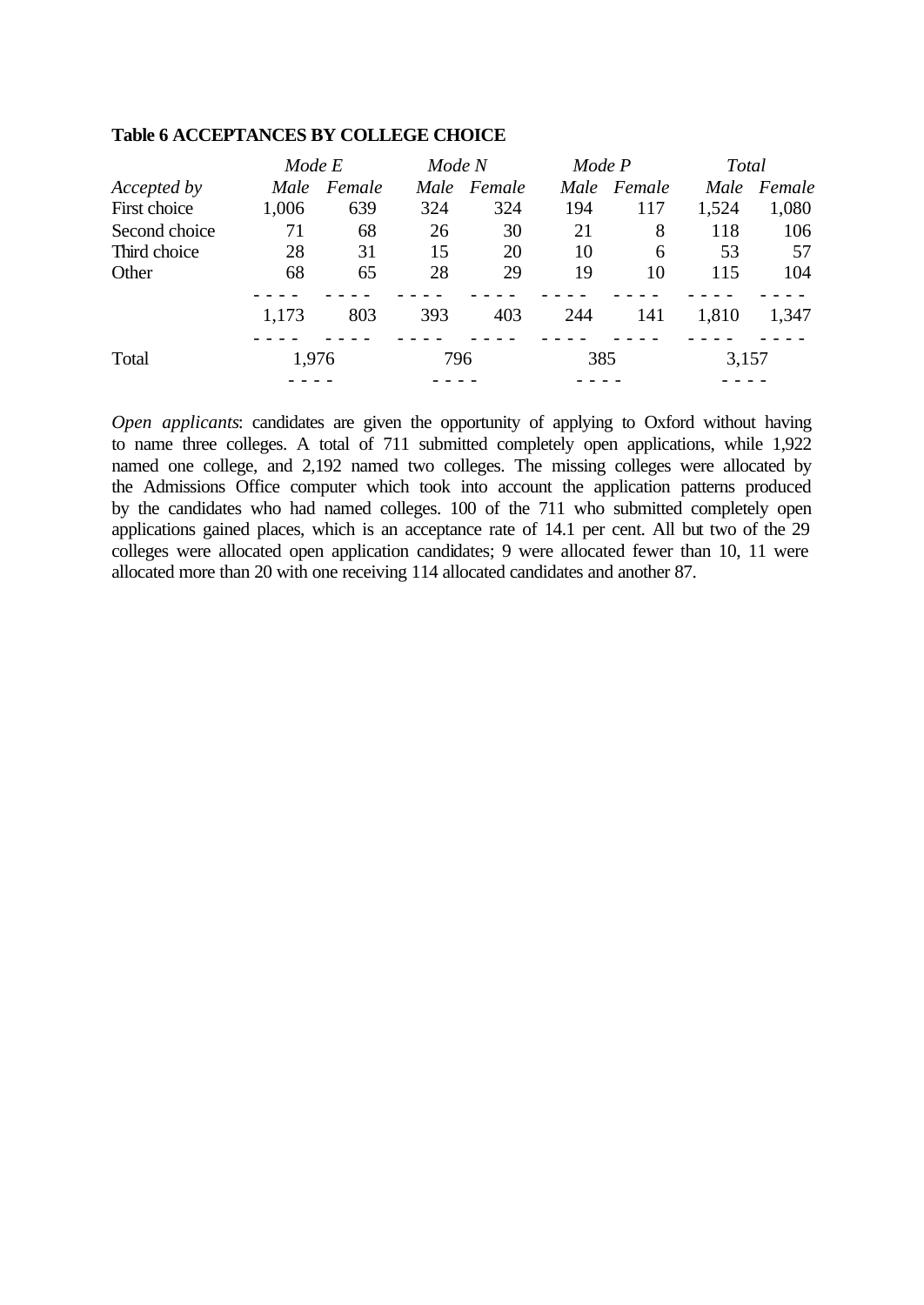|               | Mode E |        | Mode N |        | Mode P |        | Total |        |
|---------------|--------|--------|--------|--------|--------|--------|-------|--------|
| Accepted by   | Male   | Female | Male   | Female | Male   | Female | Male  | Female |
| First choice  | 1,006  | 639    | 324    | 324    | 194    | 117    | 1,524 | 1,080  |
| Second choice | 71     | 68     | 26     | 30     | 21     | 8      | 118   | 106    |
| Third choice  | 28     | 31     | 15     | 20     | 10     | 6      | 53    | 57     |
| Other         | 68     | 65     | 28     | 29     | 19     | 10     | 115   | 104    |
|               | 1,173  | 803    | 393    | 403    | 244    | 141    | 1,810 | 1,347  |
| Total         | 1,976  |        | 796    |        | 385    |        | 3,157 |        |
|               |        |        |        |        |        |        |       |        |

#### **Table 6 ACCEPTANCES BY COLLEGE CHOICE**

*Open applicants*: candidates are given the opportunity of applying to Oxford without having to name three colleges. A total of 711 submitted completely open applications, while 1,922 named one college, and 2,192 named two colleges. The missing colleges were allocated by the Admissions Office computer which took into account the application patterns produced by the candidates who had named colleges. 100 of the 711 who submitted completely open applications gained places, which is an acceptance rate of 14.1 per cent. All but two of the 29 colleges were allocated open application candidates; 9 were allocated fewer than 10, 11 were allocated more than 20 with one receiving 114 allocated candidates and another 87.